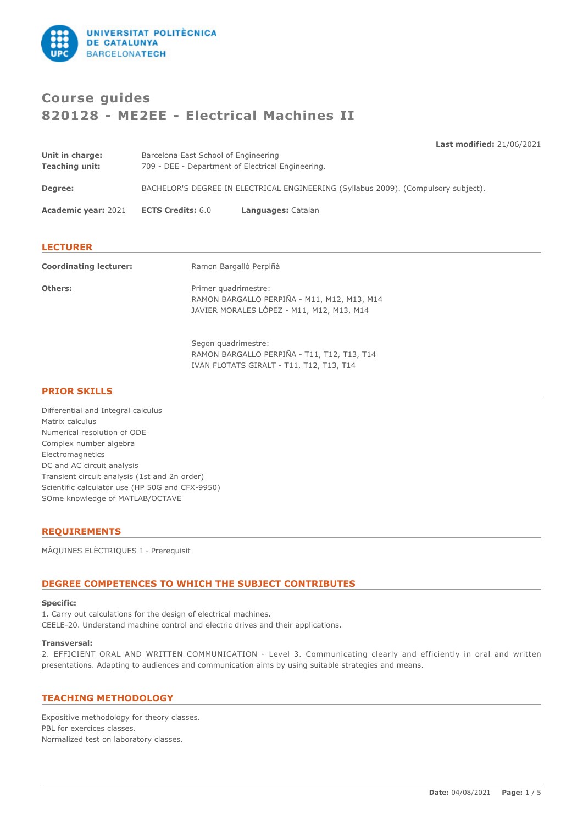

# **Course guides 820128 - ME2EE - Electrical Machines II**

**Last modified:** 21/06/2021

| Unit in charge:<br><b>Teaching unit:</b> | Barcelona East School of Engineering<br>709 - DEE - Department of Electrical Engineering. |                    |  |
|------------------------------------------|-------------------------------------------------------------------------------------------|--------------------|--|
|                                          |                                                                                           |                    |  |
| Degree:                                  | BACHELOR'S DEGREE IN ELECTRICAL ENGINEERING (Syllabus 2009). (Compulsory subject).        |                    |  |
| <b>Academic year: 2021</b>               | <b>ECTS Credits: 6.0</b>                                                                  | Languages: Catalan |  |
|                                          |                                                                                           |                    |  |

# **LECTURER**

| <b>Coordinating lecturer:</b> | Ramon Bargalló Perpiñà                                                                                           |
|-------------------------------|------------------------------------------------------------------------------------------------------------------|
| <b>Others:</b>                | Primer quadrimestre:<br>RAMON BARGALLO PERPIÑA - M11, M12, M13, M14<br>JAVIER MORALES LÓPEZ - M11, M12, M13, M14 |

Segon quadrimestre: RAMON BARGALLO PERPIÑA - T11, T12, T13, T14 IVAN FLOTATS GIRALT - T11, T12, T13, T14

# **PRIOR SKILLS**

Differential and Integral calculus Matrix calculus Numerical resolution of ODE Complex number algebra Electromagnetics DC and AC circuit analysis Transient circuit analysis (1st and 2n order) Scientific calculator use (HP 50G and CFX-9950) SOme knowledge of MATLAB/OCTAVE

# **REQUIREMENTS**

MÀQUINES ELÈCTRIQUES I - Prerequisit

# **DEGREE COMPETENCES TO WHICH THE SUBJECT CONTRIBUTES**

### **Specific:**

1. Carry out calculations for the design of electrical machines. CEELE-20. Understand machine control and electric drives and their applications.

#### **Transversal:**

2. EFFICIENT ORAL AND WRITTEN COMMUNICATION - Level 3. Communicating clearly and efficiently in oral and written presentations. Adapting to audiences and communication aims by using suitable strategies and means.

### **TEACHING METHODOLOGY**

Expositive methodology for theory classes. PBL for exercices classes. Normalized test on laboratory classes.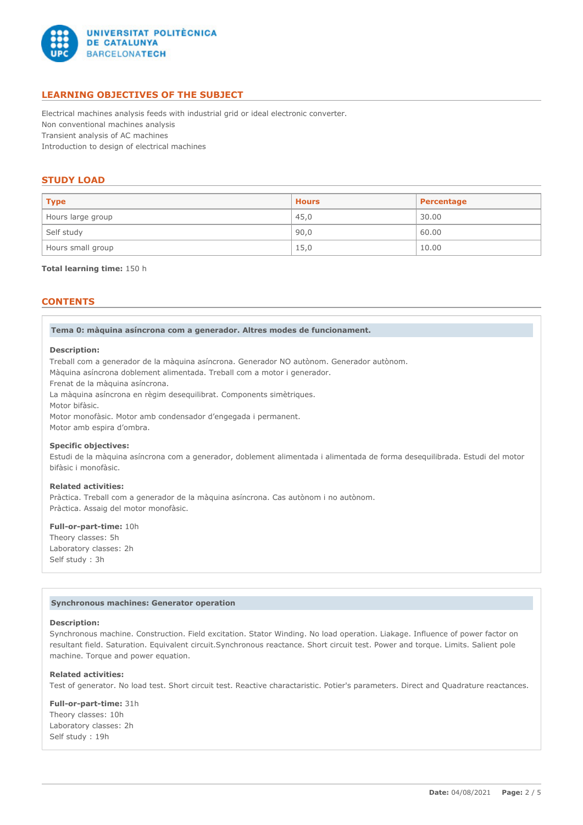

# **LEARNING OBJECTIVES OF THE SUBJECT**

Electrical machines analysis feeds with industrial grid or ideal electronic converter. Non conventional machines analysis Transient analysis of AC machines Introduction to design of electrical machines

# **STUDY LOAD**

| <b>Type</b>       | <b>Hours</b> | Percentage |
|-------------------|--------------|------------|
| Hours large group | 45,0         | 30.00      |
| Self study        | 90,0         | 60.00      |
| Hours small group | 15,0         | 10.00      |

#### **Total learning time:** 150 h

# **CONTENTS**

**Tema 0: màquina asíncrona com a generador. Altres modes de funcionament.**

#### **Description:**

Treball com a generador de la màquina asíncrona. Generador NO autònom. Generador autònom.

Màquina asíncrona doblement alimentada. Treball com a motor i generador.

Frenat de la màquina asíncrona.

La màquina asíncrona en règim desequilibrat. Components simètriques.

Motor bifàsic.

Motor monofàsic. Motor amb condensador d'engegada i permanent.

Motor amb espira d'ombra.

# **Specific objectives:**

Estudi de la màquina asíncrona com a generador, doblement alimentada i alimentada de forma desequilibrada. Estudi del motor bifàsic i monofàsic.

### **Related activities:**

Pràctica. Treball com a generador de la màquina asíncrona. Cas autònom i no autònom. Pràctica. Assaig del motor monofàsic.

#### **Full-or-part-time:** 10h

Theory classes: 5h Laboratory classes: 2h Self study : 3h

#### **Synchronous machines: Generator operation**

#### **Description:**

Synchronous machine. Construction. Field excitation. Stator Winding. No load operation. Liakage. Influence of power factor on resultant field. Saturation. Equivalent circuit.Synchronous reactance. Short circuit test. Power and torque. Limits. Salient pole machine. Torque and power equation.

#### **Related activities:**

Test of generator. No load test. Short circuit test. Reactive charactaristic. Potier's parameters. Direct and Quadrature reactances.

**Full-or-part-time:** 31h Theory classes: 10h Laboratory classes: 2h Self study : 19h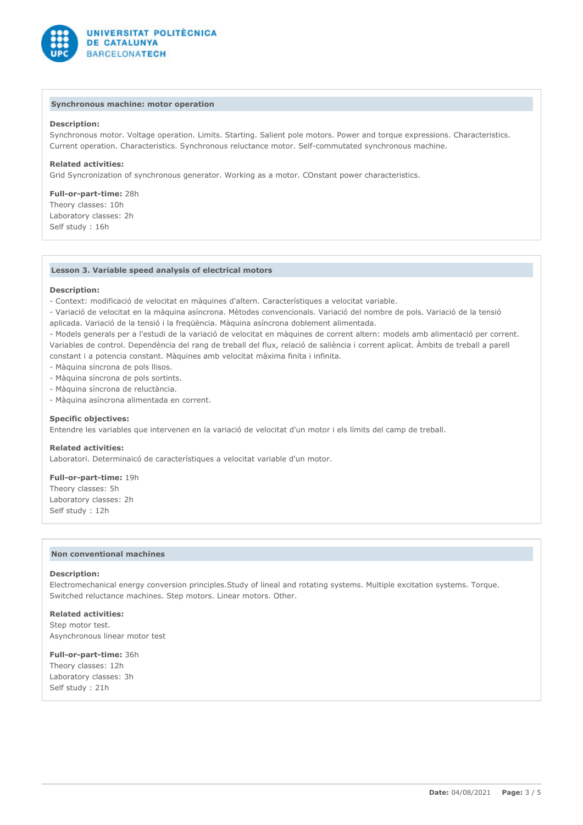

### **Synchronous machine: motor operation**

### **Description:**

Synchronous motor. Voltage operation. Limits. Starting. Salient pole motors. Power and torque expressions. Characteristics. Current operation. Characteristics. Synchronous reluctance motor. Self-commutated synchronous machine.

### **Related activities:**

Grid Syncronization of synchronous generator. Working as a motor. COnstant power characteristics.

**Full-or-part-time:** 28h Theory classes: 10h Laboratory classes: 2h Self study : 16h

### **Lesson 3. Variable speed analysis of electrical motors**

#### **Description:**

- Context: modificació de velocitat en màquines d'altern. Característiques a velocitat variable.

- Variació de velocitat en la màquina asíncrona. Mètodes convencionals. Variació del nombre de pols. Variació de la tensió

aplicada. Variació de la tensió i la freqüència. Màquina asíncrona doblement alimentada.

- Models generals per a l'estudi de la variació de velocitat en màquines de corrent altern: models amb alimentació per corrent. Variables de control. Dependència del rang de treball del flux, relació de saliència i corrent aplicat. Àmbits de treball a parell constant i a potencia constant. Màquines amb velocitat màxima finita i infinita.

- Màquina síncrona de pols llisos.
- Màquina síncrona de pols sortints.
- Màquina síncrona de reluctància.
- Màquina asíncrona alimentada en corrent.

#### **Specific objectives:**

Entendre les variables que intervenen en la variació de velocitat d'un motor i els límits del camp de treball.

#### **Related activities:**

Laboratori. Determinaicó de característiques a velocitat variable d'un motor.

**Full-or-part-time:** 19h Theory classes: 5h Laboratory classes: 2h Self study : 12h

### **Non conventional machines**

#### **Description:**

Electromechanical energy conversion principles.Study of lineal and rotating systems. Multiple excitation systems. Torque. Switched reluctance machines. Step motors. Linear motors. Other.

#### **Related activities:**

Step motor test. Asynchronous linear motor test

### **Full-or-part-time:** 36h

Theory classes: 12h Laboratory classes: 3h Self study : 21h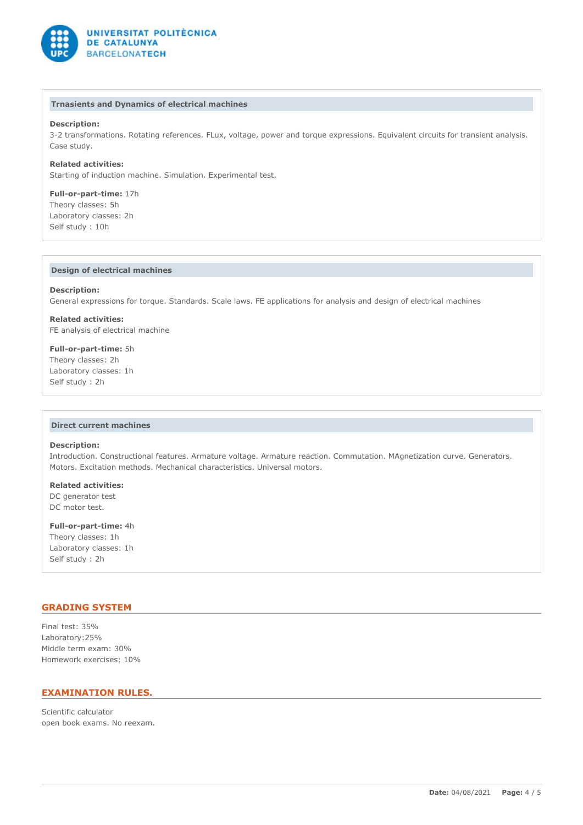

#### **Trnasients and Dynamics of electrical machines**

### **Description:**

3-2 transformations. Rotating references. FLux, voltage, power and torque expressions. Equivalent circuits for transient analysis. Case study.

**Related activities:** Starting of induction machine. Simulation. Experimental test.

**Full-or-part-time:** 17h Theory classes: 5h Laboratory classes: 2h Self study : 10h

### **Design of electrical machines**

#### **Description:**

General expressions for torque. Standards. Scale laws. FE applications for analysis and design of electrical machines

**Related activities:** FE analysis of electrical machine

**Full-or-part-time:** 5h Theory classes: 2h Laboratory classes: 1h Self study : 2h

#### **Direct current machines**

### **Description:**

Introduction. Constructional features. Armature voltage. Armature reaction. Commutation. MAgnetization curve. Generators. Motors. Excitation methods. Mechanical characteristics. Universal motors.

**Related activities:** DC generator test DC motor test.

**Full-or-part-time:** 4h Theory classes: 1h Laboratory classes: 1h Self study : 2h

## **GRADING SYSTEM**

Final test: 35% Laboratory:25% Middle term exam: 30% Homework exercises: 10%

# **EXAMINATION RULES.**

Scientific calculator open book exams. No reexam.